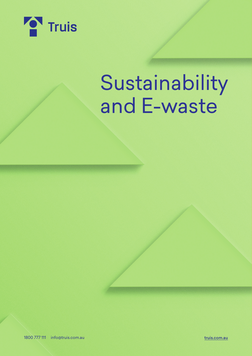

# Sustainability and E-waste